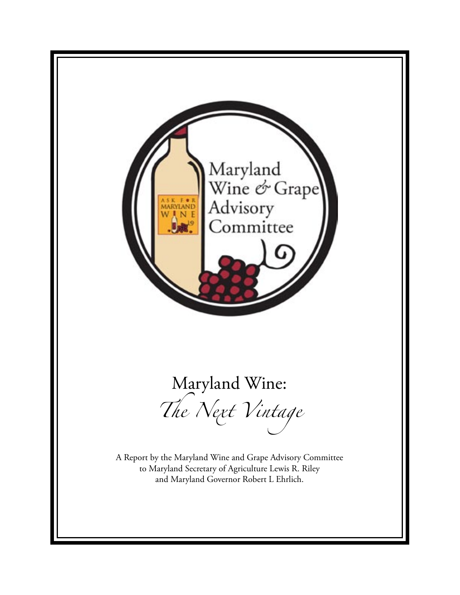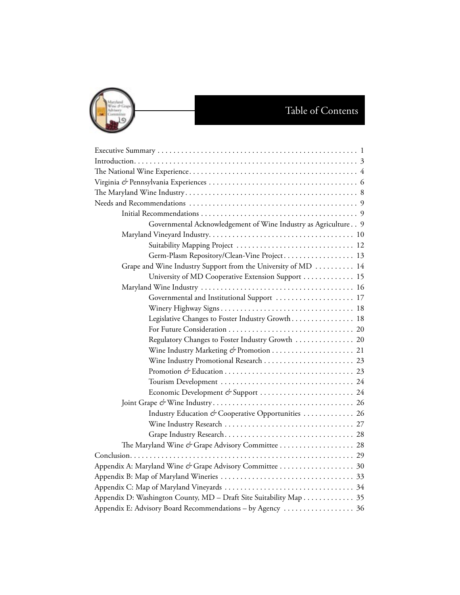

| Governmental Acknowledgement of Wine Industry as Agriculture 9    |
|-------------------------------------------------------------------|
|                                                                   |
| Suitability Mapping Project  12                                   |
| Germ-Plasm Repository/Clean-Vine Project 13                       |
| Grape and Wine Industry Support from the University of MD  14     |
| University of MD Cooperative Extension Support  15                |
|                                                                   |
| Governmental and Institutional Support  17                        |
|                                                                   |
| Legislative Changes to Foster Industry Growth 18                  |
|                                                                   |
| Regulatory Changes to Foster Industry Growth  20                  |
|                                                                   |
|                                                                   |
|                                                                   |
|                                                                   |
| Economic Development & Support  24                                |
|                                                                   |
| Industry Education & Cooperative Opportunities  26                |
|                                                                   |
|                                                                   |
|                                                                   |
|                                                                   |
|                                                                   |
|                                                                   |
|                                                                   |
| Appendix D: Washington County, MD - Draft Site Suitability Map 35 |
| Appendix E: Advisory Board Recommendations - by Agency  36        |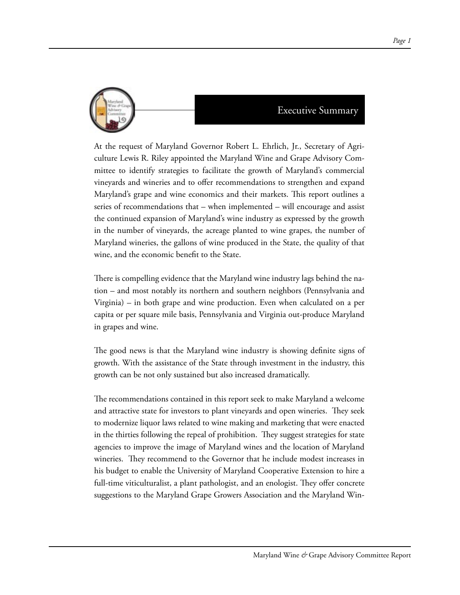

At the request of Maryland Governor Robert L. Ehrlich, Jr., Secretary of Agriculture Lewis R. Riley appointed the Maryland Wine and Grape Advisory Committee to identify strategies to facilitate the growth of Maryland's commercial vineyards and wineries and to offer recommendations to strengthen and expand Maryland's grape and wine economics and their markets. This report outlines a series of recommendations that – when implemented – will encourage and assist the continued expansion of Maryland's wine industry as expressed by the growth in the number of vineyards, the acreage planted to wine grapes, the number of Maryland wineries, the gallons of wine produced in the State, the quality of that wine, and the economic benefit to the State.

There is compelling evidence that the Maryland wine industry lags behind the nation – and most notably its northern and southern neighbors (Pennsylvania and Virginia) – in both grape and wine production. Even when calculated on a per capita or per square mile basis, Pennsylvania and Virginia out-produce Maryland in grapes and wine.

The good news is that the Maryland wine industry is showing definite signs of growth. With the assistance of the State through investment in the industry, this growth can be not only sustained but also increased dramatically.

The recommendations contained in this report seek to make Maryland a welcome and attractive state for investors to plant vineyards and open wineries. They seek to modernize liquor laws related to wine making and marketing that were enacted in the thirties following the repeal of prohibition. They suggest strategies for state agencies to improve the image of Maryland wines and the location of Maryland wineries. They recommend to the Governor that he include modest increases in his budget to enable the University of Maryland Cooperative Extension to hire a full-time viticulturalist, a plant pathologist, and an enologist. They offer concrete suggestions to the Maryland Grape Growers Association and the Maryland Win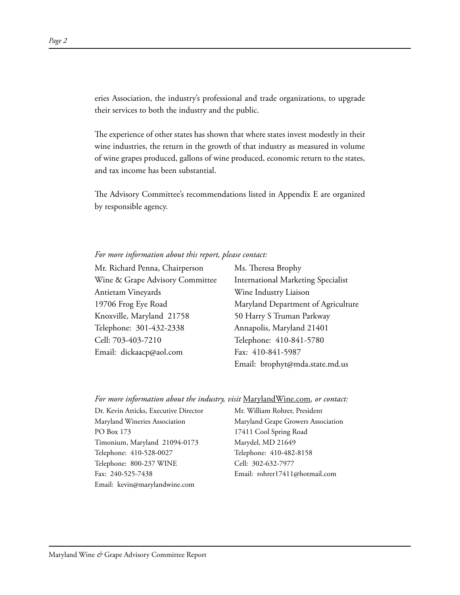eries Association, the industry's professional and trade organizations, to upgrade their services to both the industry and the public.

The experience of other states has shown that where states invest modestly in their wine industries, the return in the growth of that industry as measured in volume of wine grapes produced, gallons of wine produced, economic return to the states, and tax income has been substantial.

The Advisory Committee's recommendations listed in Appendix E are organized by responsible agency.

#### *For more information about this report, please contact:*

Mr. Richard Penna, Chairperson Wine & Grape Advisory Committee Antietam Vineyards 19706 Frog Eye Road Knoxville, Maryland 21758 Telephone: 301-432-2338 Cell: 703-403-7210 Email: dickaacp@aol.com

Ms. Theresa Brophy International Marketing Specialist Wine Industry Liaison Maryland Department of Agriculture 50 Harry S Truman Parkway Annapolis, Maryland 21401 Telephone: 410-841-5780 Fax: 410-841-5987 Email: brophyt@mda.state.md.us

#### *For more information about the industry, visit* MarylandWine.com*, or contact:*

Dr. Kevin Atticks, Executive Director Maryland Wineries Association PO Box 173 Timonium, Maryland 21094-0173 Telephone: 410-528-0027 Telephone: 800-237 WINE Fax: 240-525-7438 Email: kevin@marylandwine.com

Mr. William Rohrer, President Maryland Grape Growers Association 17411 Cool Spring Road Marydel, MD 21649 Telephone: 410-482-8158 Cell: 302-632-7977 Email: rohrer17411@hotmail.com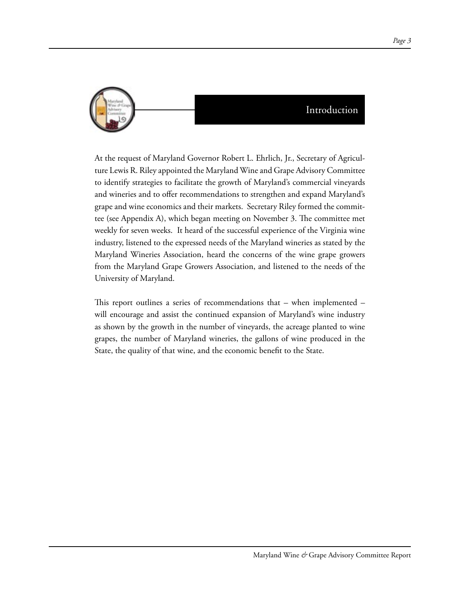

# Introduction

At the request of Maryland Governor Robert L. Ehrlich, Jr., Secretary of Agriculture Lewis R. Riley appointed the Maryland Wine and Grape Advisory Committee to identify strategies to facilitate the growth of Maryland's commercial vineyards and wineries and to offer recommendations to strengthen and expand Maryland's grape and wine economics and their markets. Secretary Riley formed the committee (see Appendix A), which began meeting on November 3. The committee met weekly for seven weeks. It heard of the successful experience of the Virginia wine industry, listened to the expressed needs of the Maryland wineries as stated by the Maryland Wineries Association, heard the concerns of the wine grape growers from the Maryland Grape Growers Association, and listened to the needs of the University of Maryland.

This report outlines a series of recommendations that – when implemented – will encourage and assist the continued expansion of Maryland's wine industry as shown by the growth in the number of vineyards, the acreage planted to wine grapes, the number of Maryland wineries, the gallons of wine produced in the State, the quality of that wine, and the economic benefit to the State.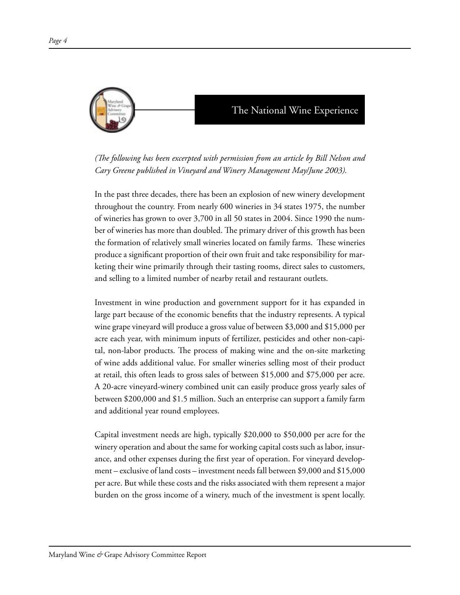

*(The following has been excerpted with permission from an article by Bill Nelson and Cary Greene published in Vineyard and Winery Management May/June 2003).* 

In the past three decades, there has been an explosion of new winery development throughout the country. From nearly 600 wineries in 34 states 1975, the number of wineries has grown to over 3,700 in all 50 states in 2004. Since 1990 the number of wineries has more than doubled. The primary driver of this growth has been the formation of relatively small wineries located on family farms. These wineries produce a significant proportion of their own fruit and take responsibility for marketing their wine primarily through their tasting rooms, direct sales to customers, and selling to a limited number of nearby retail and restaurant outlets.

Investment in wine production and government support for it has expanded in large part because of the economic benefits that the industry represents. A typical wine grape vineyard will produce a gross value of between \$3,000 and \$15,000 per acre each year, with minimum inputs of fertilizer, pesticides and other non-capital, non-labor products. The process of making wine and the on-site marketing of wine adds additional value. For smaller wineries selling most of their product at retail, this often leads to gross sales of between \$15,000 and \$75,000 per acre. A 20-acre vineyard-winery combined unit can easily produce gross yearly sales of between \$200,000 and \$1.5 million. Such an enterprise can support a family farm and additional year round employees.

Capital investment needs are high, typically \$20,000 to \$50,000 per acre for the winery operation and about the same for working capital costs such as labor, insurance, and other expenses during the first year of operation. For vineyard development – exclusive of land costs – investment needs fall between \$9,000 and \$15,000 per acre. But while these costs and the risks associated with them represent a major burden on the gross income of a winery, much of the investment is spent locally.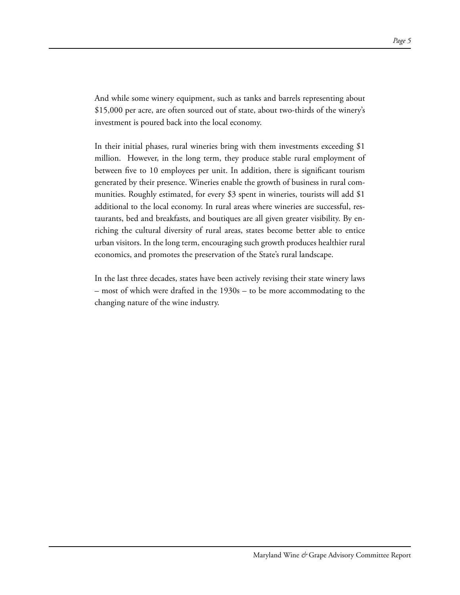And while some winery equipment, such as tanks and barrels representing about \$15,000 per acre, are often sourced out of state, about two-thirds of the winery's investment is poured back into the local economy.

In their initial phases, rural wineries bring with them investments exceeding \$1 million. However, in the long term, they produce stable rural employment of between five to 10 employees per unit. In addition, there is significant tourism generated by their presence. Wineries enable the growth of business in rural communities. Roughly estimated, for every \$3 spent in wineries, tourists will add \$1 additional to the local economy. In rural areas where wineries are successful, restaurants, bed and breakfasts, and boutiques are all given greater visibility. By enriching the cultural diversity of rural areas, states become better able to entice urban visitors. In the long term, encouraging such growth produces healthier rural economics, and promotes the preservation of the State's rural landscape.

In the last three decades, states have been actively revising their state winery laws – most of which were drafted in the 1930s – to be more accommodating to the changing nature of the wine industry.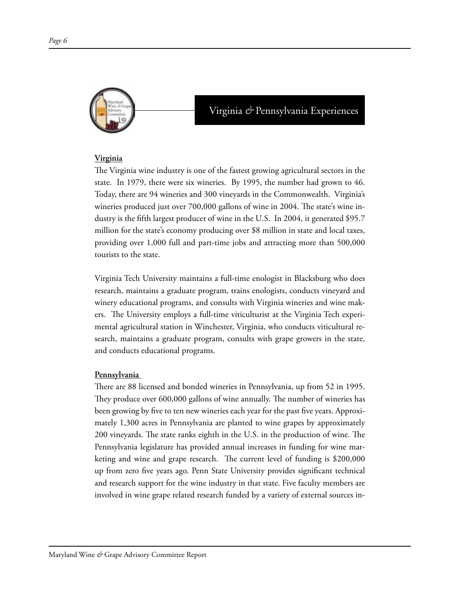

# Virginia *&* Pennsylvania Experiences

#### **Virginia**

The Virginia wine industry is one of the fastest growing agricultural sectors in the state. In 1979, there were six wineries. By 1995, the number had grown to 46. Today, there are 94 wineries and 300 vineyards in the Commonwealth. Virginia's wineries produced just over 700,000 gallons of wine in 2004. The state's wine industry is the fifth largest producer of wine in the U.S. In 2004, it generated \$95.7 million for the state's economy producing over \$8 million in state and local taxes, providing over 1,000 full and part-time jobs and attracting more than 500,000 tourists to the state.

Virginia Tech University maintains a full-time enologist in Blacksburg who does research, maintains a graduate program, trains enologists, conducts vineyard and winery educational programs, and consults with Virginia wineries and wine makers. The University employs a full-time viticulturist at the Virginia Tech experimental agricultural station in Winchester, Virginia, who conducts viticultural research, maintains a graduate program, consults with grape growers in the state, and conducts educational programs.

#### **Pennsylvania**

There are 88 licensed and bonded wineries in Pennsylvania, up from 52 in 1995. They produce over 600,000 gallons of wine annually. The number of wineries has been growing by five to ten new wineries each year for the past five years. Approximately 1,300 acres in Pennsylvania are planted to wine grapes by approximately 200 vineyards. The state ranks eighth in the U.S. in the production of wine. The Pennsylvania legislature has provided annual increases in funding for wine marketing and wine and grape research. The current level of funding is \$200,000 up from zero five years ago. Penn State University provides significant technical and research support for the wine industry in that state. Five faculty members are involved in wine grape related research funded by a variety of external sources in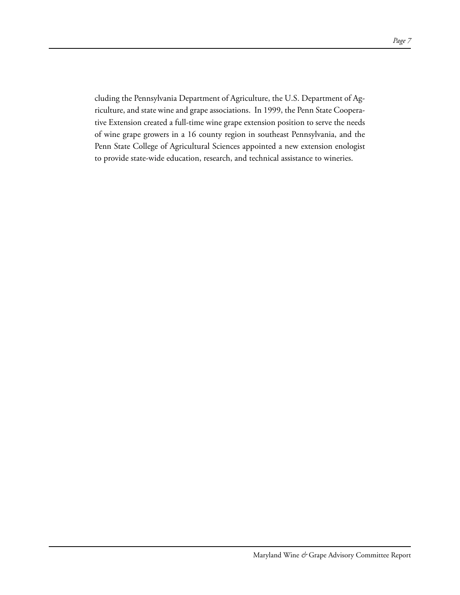cluding the Pennsylvania Department of Agriculture, the U.S. Department of Agriculture, and state wine and grape associations. In 1999, the Penn State Cooperative Extension created a full-time wine grape extension position to serve the needs of wine grape growers in a 16 county region in southeast Pennsylvania, and the Penn State College of Agricultural Sciences appointed a new extension enologist to provide state-wide education, research, and technical assistance to wineries.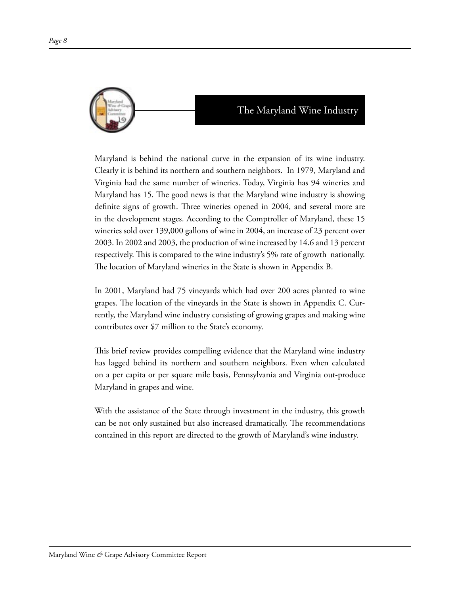

Maryland is behind the national curve in the expansion of its wine industry. Clearly it is behind its northern and southern neighbors. In 1979, Maryland and Virginia had the same number of wineries. Today, Virginia has 94 wineries and Maryland has 15. The good news is that the Maryland wine industry is showing definite signs of growth. Three wineries opened in 2004, and several more are in the development stages. According to the Comptroller of Maryland, these 15 wineries sold over 139,000 gallons of wine in 2004, an increase of 23 percent over 2003. In 2002 and 2003, the production of wine increased by 14.6 and 13 percent respectively. This is compared to the wine industry's 5% rate of growth nationally. The location of Maryland wineries in the State is shown in Appendix B.

In 2001, Maryland had 75 vineyards which had over 200 acres planted to wine grapes. The location of the vineyards in the State is shown in Appendix C. Currently, the Maryland wine industry consisting of growing grapes and making wine contributes over \$7 million to the State's economy.

This brief review provides compelling evidence that the Maryland wine industry has lagged behind its northern and southern neighbors. Even when calculated on a per capita or per square mile basis, Pennsylvania and Virginia out-produce Maryland in grapes and wine.

With the assistance of the State through investment in the industry, this growth can be not only sustained but also increased dramatically. The recommendations contained in this report are directed to the growth of Maryland's wine industry.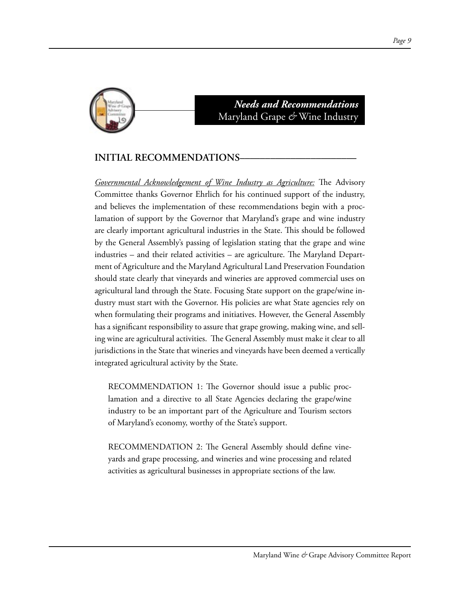

# *Needs and Recommendations* Maryland Grape *&* Wine Industry

## **INITIAL RECOMMENDATIONS–––––––––––––––––––––––**

*Governmental Acknowledgement of Wine Industry as Agriculture:* The Advisory Committee thanks Governor Ehrlich for his continued support of the industry, and believes the implementation of these recommendations begin with a proclamation of support by the Governor that Maryland's grape and wine industry are clearly important agricultural industries in the State. This should be followed by the General Assembly's passing of legislation stating that the grape and wine industries – and their related activities – are agriculture. The Maryland Department of Agriculture and the Maryland Agricultural Land Preservation Foundation should state clearly that vineyards and wineries are approved commercial uses on agricultural land through the State. Focusing State support on the grape/wine industry must start with the Governor. His policies are what State agencies rely on when formulating their programs and initiatives. However, the General Assembly has a significant responsibility to assure that grape growing, making wine, and selling wine are agricultural activities. The General Assembly must make it clear to all jurisdictions in the State that wineries and vineyards have been deemed a vertically integrated agricultural activity by the State.

RECOMMENDATION 1: The Governor should issue a public proclamation and a directive to all State Agencies declaring the grape/wine industry to be an important part of the Agriculture and Tourism sectors of Maryland's economy, worthy of the State's support.

RECOMMENDATION 2: The General Assembly should define vineyards and grape processing, and wineries and wine processing and related activities as agricultural businesses in appropriate sections of the law.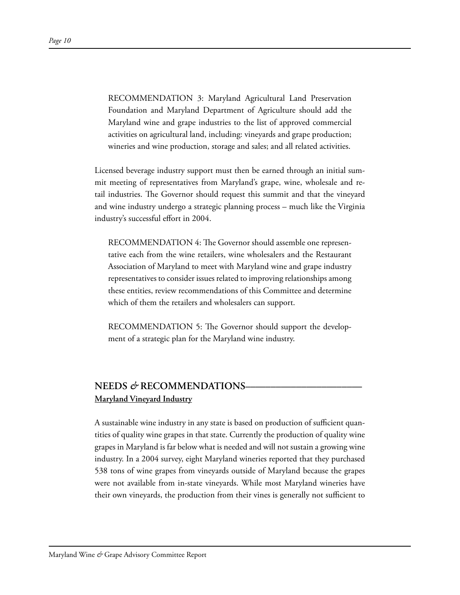RECOMMENDATION 3: Maryland Agricultural Land Preservation Foundation and Maryland Department of Agriculture should add the Maryland wine and grape industries to the list of approved commercial activities on agricultural land, including: vineyards and grape production; wineries and wine production, storage and sales; and all related activities.

Licensed beverage industry support must then be earned through an initial summit meeting of representatives from Maryland's grape, wine, wholesale and retail industries. The Governor should request this summit and that the vineyard and wine industry undergo a strategic planning process – much like the Virginia industry's successful effort in 2004.

RECOMMENDATION 4: The Governor should assemble one representative each from the wine retailers, wine wholesalers and the Restaurant Association of Maryland to meet with Maryland wine and grape industry representatives to consider issues related to improving relationships among these entities, review recommendations of this Committee and determine which of them the retailers and wholesalers can support.

RECOMMENDATION 5: The Governor should support the development of a strategic plan for the Maryland wine industry.

# **NEEDS** *&* **RECOMMENDATIONS––––––––––––––––––––––– Maryland Vineyard Industry**

A sustainable wine industry in any state is based on production of sufficient quantities of quality wine grapes in that state. Currently the production of quality wine grapes in Maryland is far below what is needed and will not sustain a growing wine industry. In a 2004 survey, eight Maryland wineries reported that they purchased 538 tons of wine grapes from vineyards outside of Maryland because the grapes were not available from in-state vineyards. While most Maryland wineries have their own vineyards, the production from their vines is generally not sufficient to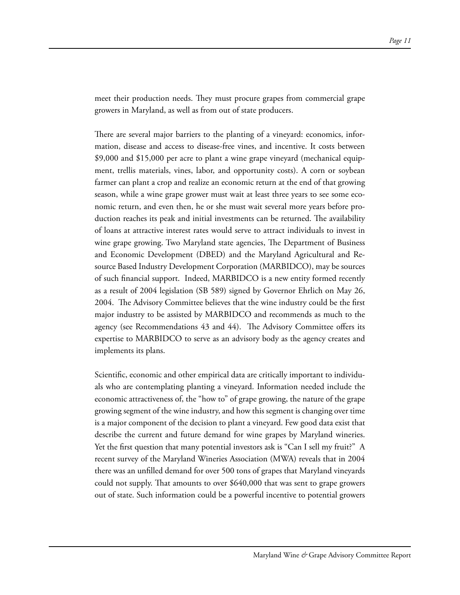meet their production needs. They must procure grapes from commercial grape growers in Maryland, as well as from out of state producers.

There are several major barriers to the planting of a vineyard: economics, information, disease and access to disease-free vines, and incentive. It costs between \$9,000 and \$15,000 per acre to plant a wine grape vineyard (mechanical equipment, trellis materials, vines, labor, and opportunity costs). A corn or soybean farmer can plant a crop and realize an economic return at the end of that growing season, while a wine grape grower must wait at least three years to see some economic return, and even then, he or she must wait several more years before production reaches its peak and initial investments can be returned. The availability of loans at attractive interest rates would serve to attract individuals to invest in wine grape growing. Two Maryland state agencies, The Department of Business and Economic Development (DBED) and the Maryland Agricultural and Resource Based Industry Development Corporation (MARBIDCO), may be sources of such financial support. Indeed, MARBIDCO is a new entity formed recently as a result of 2004 legislation (SB 589) signed by Governor Ehrlich on May 26, 2004. The Advisory Committee believes that the wine industry could be the first major industry to be assisted by MARBIDCO and recommends as much to the agency (see Recommendations 43 and 44). The Advisory Committee offers its expertise to MARBIDCO to serve as an advisory body as the agency creates and implements its plans.

Scientific, economic and other empirical data are critically important to individuals who are contemplating planting a vineyard. Information needed include the economic attractiveness of, the "how to" of grape growing, the nature of the grape growing segment of the wine industry, and how this segment is changing over time is a major component of the decision to plant a vineyard. Few good data exist that describe the current and future demand for wine grapes by Maryland wineries. Yet the first question that many potential investors ask is "Can I sell my fruit?" A recent survey of the Maryland Wineries Association (MWA) reveals that in 2004 there was an unfilled demand for over 500 tons of grapes that Maryland vineyards could not supply. That amounts to over \$640,000 that was sent to grape growers out of state. Such information could be a powerful incentive to potential growers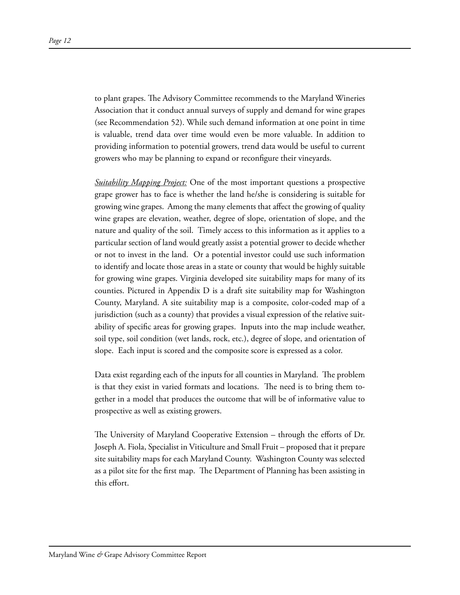to plant grapes. The Advisory Committee recommends to the Maryland Wineries Association that it conduct annual surveys of supply and demand for wine grapes (see Recommendation 52). While such demand information at one point in time is valuable, trend data over time would even be more valuable. In addition to providing information to potential growers, trend data would be useful to current growers who may be planning to expand or reconfigure their vineyards.

*Suitability Mapping Project:* One of the most important questions a prospective grape grower has to face is whether the land he/she is considering is suitable for growing wine grapes. Among the many elements that affect the growing of quality wine grapes are elevation, weather, degree of slope, orientation of slope, and the nature and quality of the soil. Timely access to this information as it applies to a particular section of land would greatly assist a potential grower to decide whether or not to invest in the land. Or a potential investor could use such information to identify and locate those areas in a state or county that would be highly suitable for growing wine grapes. Virginia developed site suitability maps for many of its counties. Pictured in Appendix D is a draft site suitability map for Washington County, Maryland. A site suitability map is a composite, color-coded map of a jurisdiction (such as a county) that provides a visual expression of the relative suitability of specific areas for growing grapes. Inputs into the map include weather, soil type, soil condition (wet lands, rock, etc.), degree of slope, and orientation of slope. Each input is scored and the composite score is expressed as a color.

Data exist regarding each of the inputs for all counties in Maryland. The problem is that they exist in varied formats and locations. The need is to bring them together in a model that produces the outcome that will be of informative value to prospective as well as existing growers.

The University of Maryland Cooperative Extension – through the efforts of Dr. Joseph A. Fiola, Specialist in Viticulture and Small Fruit – proposed that it prepare site suitability maps for each Maryland County. Washington County was selected as a pilot site for the first map. The Department of Planning has been assisting in this effort.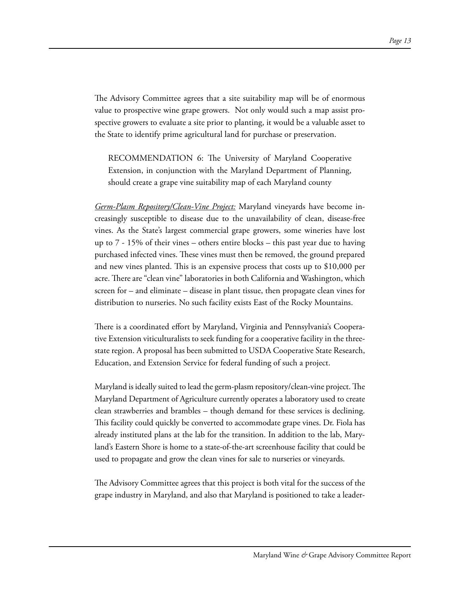The Advisory Committee agrees that a site suitability map will be of enormous value to prospective wine grape growers. Not only would such a map assist prospective growers to evaluate a site prior to planting, it would be a valuable asset to the State to identify prime agricultural land for purchase or preservation.

RECOMMENDATION 6: The University of Maryland Cooperative Extension, in conjunction with the Maryland Department of Planning, should create a grape vine suitability map of each Maryland county

*Germ-Plasm Repository/Clean-Vine Project:* Maryland vineyards have become increasingly susceptible to disease due to the unavailability of clean, disease-free vines. As the State's largest commercial grape growers, some wineries have lost up to 7 - 15% of their vines – others entire blocks – this past year due to having purchased infected vines. These vines must then be removed, the ground prepared and new vines planted. This is an expensive process that costs up to \$10,000 per acre. There are "clean vine" laboratories in both California and Washington, which screen for – and eliminate – disease in plant tissue, then propagate clean vines for distribution to nurseries. No such facility exists East of the Rocky Mountains.

There is a coordinated effort by Maryland, Virginia and Pennsylvania's Cooperative Extension viticulturalists to seek funding for a cooperative facility in the threestate region. A proposal has been submitted to USDA Cooperative State Research, Education, and Extension Service for federal funding of such a project.

Maryland is ideally suited to lead the germ-plasm repository/clean-vine project. The Maryland Department of Agriculture currently operates a laboratory used to create clean strawberries and brambles – though demand for these services is declining. This facility could quickly be converted to accommodate grape vines. Dr. Fiola has already instituted plans at the lab for the transition. In addition to the lab, Maryland's Eastern Shore is home to a state-of-the-art screenhouse facility that could be used to propagate and grow the clean vines for sale to nurseries or vineyards.

The Advisory Committee agrees that this project is both vital for the success of the grape industry in Maryland, and also that Maryland is positioned to take a leader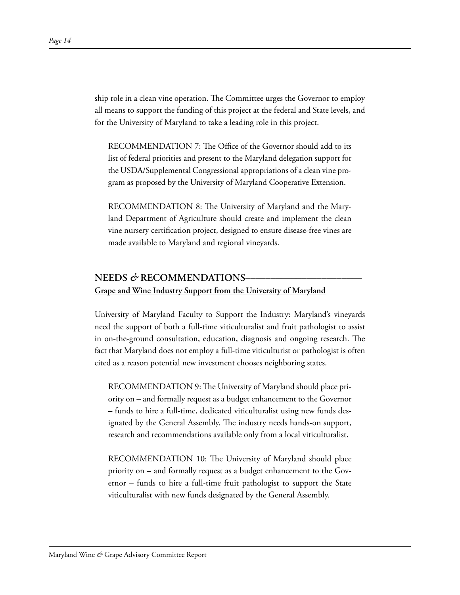ship role in a clean vine operation. The Committee urges the Governor to employ all means to support the funding of this project at the federal and State levels, and for the University of Maryland to take a leading role in this project.

RECOMMENDATION 7: The Office of the Governor should add to its list of federal priorities and present to the Maryland delegation support for the USDA/Supplemental Congressional appropriations of a clean vine program as proposed by the University of Maryland Cooperative Extension.

RECOMMENDATION 8: The University of Maryland and the Maryland Department of Agriculture should create and implement the clean vine nursery certification project, designed to ensure disease-free vines are made available to Maryland and regional vineyards.

## **NEEDS** *&* **RECOMMENDATIONS––––––––––––––––––––––– Grape and Wine Industry Support from the University of Maryland**

University of Maryland Faculty to Support the Industry: Maryland's vineyards need the support of both a full-time viticulturalist and fruit pathologist to assist in on-the-ground consultation, education, diagnosis and ongoing research. The fact that Maryland does not employ a full-time viticulturist or pathologist is often cited as a reason potential new investment chooses neighboring states.

RECOMMENDATION 9: The University of Maryland should place priority on – and formally request as a budget enhancement to the Governor – funds to hire a full-time, dedicated viticulturalist using new funds designated by the General Assembly. The industry needs hands-on support, research and recommendations available only from a local viticulturalist.

RECOMMENDATION 10: The University of Maryland should place priority on – and formally request as a budget enhancement to the Governor – funds to hire a full-time fruit pathologist to support the State viticulturalist with new funds designated by the General Assembly.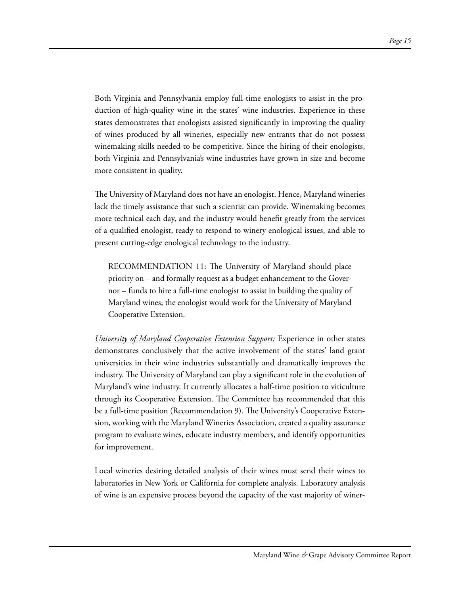Both Virginia and Pennsylvania employ full-time enologists to assist in the production of high-quality wine in the states' wine industries. Experience in these states demonstrates that enologists assisted significantly in improving the quality of wines produced by all wineries, especially new entrants that do not possess winemaking skills needed to be competitive. Since the hiring of their enologists, both Virginia and Pennsylvania's wine industries have grown in size and become more consistent in quality.

The University of Maryland does not have an enologist. Hence, Maryland wineries lack the timely assistance that such a scientist can provide. Winemaking becomes more technical each day, and the industry would benefit greatly from the services of a qualified enologist, ready to respond to winery enological issues, and able to present cutting-edge enological technology to the industry.

RECOMMENDATION 11: The University of Maryland should place priority on – and formally request as a budget enhancement to the Governor – funds to hire a full-time enologist to assist in building the quality of Maryland wines; the enologist would work for the University of Maryland Cooperative Extension.

*University of Maryland Cooperative Extension Support:* Experience in other states demonstrates conclusively that the active involvement of the states' land grant universities in their wine industries substantially and dramatically improves the industry. The University of Maryland can play a significant role in the evolution of Maryland's wine industry. It currently allocates a half-time position to viticulture through its Cooperative Extension. The Committee has recommended that this be a full-time position (Recommendation 9). The University's Cooperative Extension, working with the Maryland Wineries Association, created a quality assurance program to evaluate wines, educate industry members, and identify opportunities for improvement.

Local wineries desiring detailed analysis of their wines must send their wines to laboratories in New York or California for complete analysis. Laboratory analysis of wine is an expensive process beyond the capacity of the vast majority of winer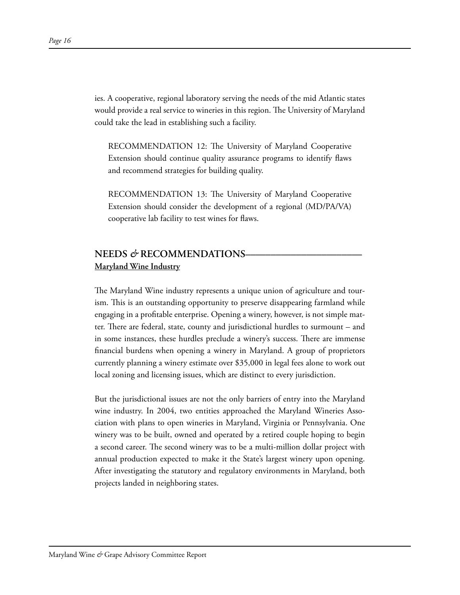ies. A cooperative, regional laboratory serving the needs of the mid Atlantic states would provide a real service to wineries in this region. The University of Maryland could take the lead in establishing such a facility.

RECOMMENDATION 12: The University of Maryland Cooperative Extension should continue quality assurance programs to identify flaws and recommend strategies for building quality.

RECOMMENDATION 13: The University of Maryland Cooperative Extension should consider the development of a regional (MD/PA/VA) cooperative lab facility to test wines for flaws.

# **NEEDS** *&* **RECOMMENDATIONS––––––––––––––––––––––– Maryland Wine Industry**

The Maryland Wine industry represents a unique union of agriculture and tourism. This is an outstanding opportunity to preserve disappearing farmland while engaging in a profitable enterprise. Opening a winery, however, is not simple matter. There are federal, state, county and jurisdictional hurdles to surmount – and in some instances, these hurdles preclude a winery's success. There are immense financial burdens when opening a winery in Maryland. A group of proprietors currently planning a winery estimate over \$35,000 in legal fees alone to work out local zoning and licensing issues, which are distinct to every jurisdiction.

But the jurisdictional issues are not the only barriers of entry into the Maryland wine industry. In 2004, two entities approached the Maryland Wineries Association with plans to open wineries in Maryland, Virginia or Pennsylvania. One winery was to be built, owned and operated by a retired couple hoping to begin a second career. The second winery was to be a multi-million dollar project with annual production expected to make it the State's largest winery upon opening. After investigating the statutory and regulatory environments in Maryland, both projects landed in neighboring states.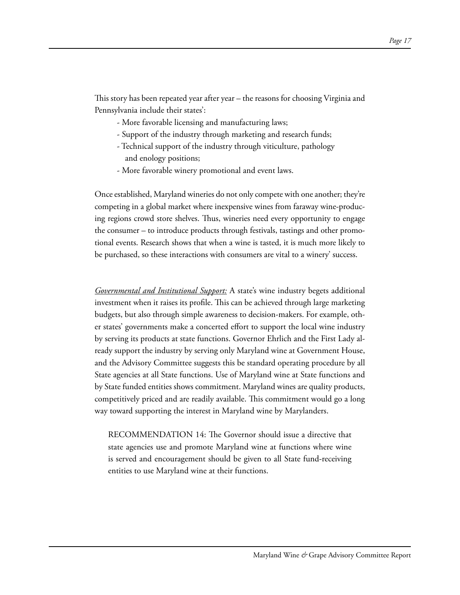This story has been repeated year after year – the reasons for choosing Virginia and Pennsylvania include their states':

- More favorable licensing and manufacturing laws;
- Support of the industry through marketing and research funds;
- Technical support of the industry through viticulture, pathology and enology positions;
- More favorable winery promotional and event laws.

Once established, Maryland wineries do not only compete with one another; they're competing in a global market where inexpensive wines from faraway wine-producing regions crowd store shelves. Thus, wineries need every opportunity to engage the consumer – to introduce products through festivals, tastings and other promotional events. Research shows that when a wine is tasted, it is much more likely to be purchased, so these interactions with consumers are vital to a winery' success.

*Governmental and Institutional Support:* A state's wine industry begets additional investment when it raises its profile. This can be achieved through large marketing budgets, but also through simple awareness to decision-makers. For example, other states' governments make a concerted effort to support the local wine industry by serving its products at state functions. Governor Ehrlich and the First Lady already support the industry by serving only Maryland wine at Government House, and the Advisory Committee suggests this be standard operating procedure by all State agencies at all State functions. Use of Maryland wine at State functions and by State funded entities shows commitment. Maryland wines are quality products, competitively priced and are readily available. This commitment would go a long way toward supporting the interest in Maryland wine by Marylanders.

RECOMMENDATION 14: The Governor should issue a directive that state agencies use and promote Maryland wine at functions where wine is served and encouragement should be given to all State fund-receiving entities to use Maryland wine at their functions.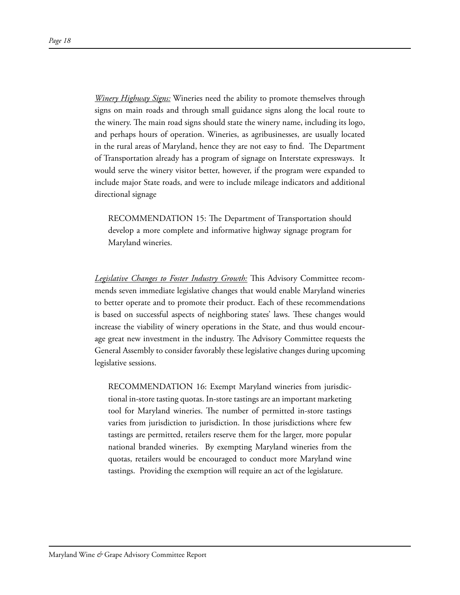*Winery Highway Signs:* Wineries need the ability to promote themselves through signs on main roads and through small guidance signs along the local route to the winery. The main road signs should state the winery name, including its logo, and perhaps hours of operation. Wineries, as agribusinesses, are usually located in the rural areas of Maryland, hence they are not easy to find. The Department of Transportation already has a program of signage on Interstate expressways. It would serve the winery visitor better, however, if the program were expanded to include major State roads, and were to include mileage indicators and additional directional signage

RECOMMENDATION 15: The Department of Transportation should develop a more complete and informative highway signage program for Maryland wineries.

*Legislative Changes to Foster Industry Growth:* This Advisory Committee recommends seven immediate legislative changes that would enable Maryland wineries to better operate and to promote their product. Each of these recommendations is based on successful aspects of neighboring states' laws. These changes would increase the viability of winery operations in the State, and thus would encourage great new investment in the industry. The Advisory Committee requests the General Assembly to consider favorably these legislative changes during upcoming legislative sessions.

RECOMMENDATION 16: Exempt Maryland wineries from jurisdictional in-store tasting quotas. In-store tastings are an important marketing tool for Maryland wineries. The number of permitted in-store tastings varies from jurisdiction to jurisdiction. In those jurisdictions where few tastings are permitted, retailers reserve them for the larger, more popular national branded wineries. By exempting Maryland wineries from the quotas, retailers would be encouraged to conduct more Maryland wine tastings. Providing the exemption will require an act of the legislature.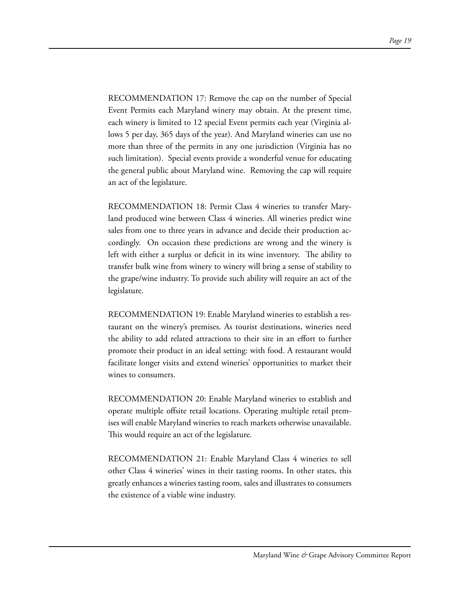RECOMMENDATION 17: Remove the cap on the number of Special Event Permits each Maryland winery may obtain. At the present time, each winery is limited to 12 special Event permits each year (Virginia allows 5 per day, 365 days of the year). And Maryland wineries can use no more than three of the permits in any one jurisdiction (Virginia has no such limitation). Special events provide a wonderful venue for educating the general public about Maryland wine. Removing the cap will require an act of the legislature.

RECOMMENDATION 18: Permit Class 4 wineries to transfer Maryland produced wine between Class 4 wineries. All wineries predict wine sales from one to three years in advance and decide their production accordingly. On occasion these predictions are wrong and the winery is left with either a surplus or deficit in its wine inventory. The ability to transfer bulk wine from winery to winery will bring a sense of stability to the grape/wine industry. To provide such ability will require an act of the legislature.

RECOMMENDATION 19: Enable Maryland wineries to establish a restaurant on the winery's premises. As tourist destinations, wineries need the ability to add related attractions to their site in an effort to further promote their product in an ideal setting: with food. A restaurant would facilitate longer visits and extend wineries' opportunities to market their wines to consumers.

RECOMMENDATION 20: Enable Maryland wineries to establish and operate multiple offsite retail locations. Operating multiple retail premises will enable Maryland wineries to reach markets otherwise unavailable. This would require an act of the legislature.

RECOMMENDATION 21: Enable Maryland Class 4 wineries to sell other Class 4 wineries' wines in their tasting rooms. In other states, this greatly enhances a wineries tasting room, sales and illustrates to consumers the existence of a viable wine industry.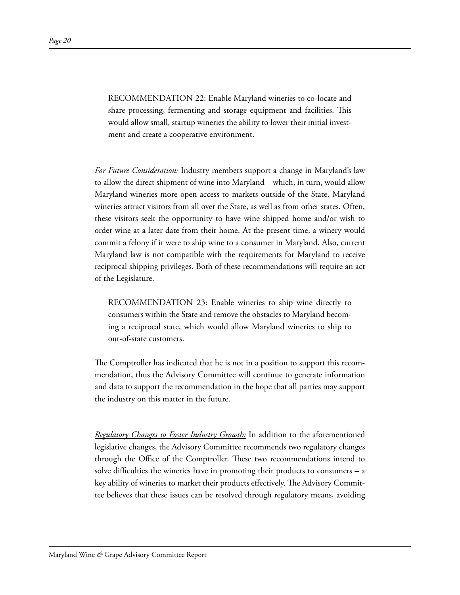RECOMMENDATION 22: Enable Maryland wineries to co-locate and share processing, fermenting and storage equipment and facilities. This would allow small, startup wineries the ability to lower their initial investment and create a cooperative environment.

*For Future Consideration:* Industry members support a change in Maryland's law to allow the direct shipment of wine into Maryland – which, in turn, would allow Maryland wineries more open access to markets outside of the State. Maryland wineries attract visitors from all over the State, as well as from other states. Often, these visitors seek the opportunity to have wine shipped home and/or wish to order wine at a later date from their home. At the present time, a winery would commit a felony if it were to ship wine to a consumer in Maryland. Also, current Maryland law is not compatible with the requirements for Maryland to receive reciprocal shipping privileges. Both of these recommendations will require an act of the Legislature.

RECOMMENDATION 23: Enable wineries to ship wine directly to consumers within the State and remove the obstacles to Maryland becoming a reciprocal state, which would allow Maryland wineries to ship to out-of-state customers.

The Comptroller has indicated that he is not in a position to support this recommendation, thus the Advisory Committee will continue to generate information and data to support the recommendation in the hope that all parties may support the industry on this matter in the future.

*Regulatory Changes to Foster Industry Growth:* In addition to the aforementioned legislative changes, the Advisory Committee recommends two regulatory changes through the Office of the Comptroller. These two recommendations intend to solve difficulties the wineries have in promoting their products to consumers – a key ability of wineries to market their products effectively. The Advisory Committee believes that these issues can be resolved through regulatory means, avoiding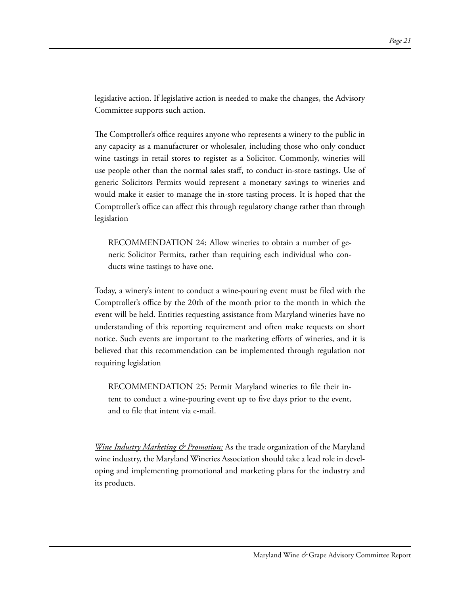legislative action. If legislative action is needed to make the changes, the Advisory Committee supports such action.

The Comptroller's office requires anyone who represents a winery to the public in any capacity as a manufacturer or wholesaler, including those who only conduct wine tastings in retail stores to register as a Solicitor. Commonly, wineries will use people other than the normal sales staff, to conduct in-store tastings. Use of generic Solicitors Permits would represent a monetary savings to wineries and would make it easier to manage the in-store tasting process. It is hoped that the Comptroller's office can affect this through regulatory change rather than through legislation

RECOMMENDATION 24: Allow wineries to obtain a number of generic Solicitor Permits, rather than requiring each individual who conducts wine tastings to have one.

Today, a winery's intent to conduct a wine-pouring event must be filed with the Comptroller's office by the 20th of the month prior to the month in which the event will be held. Entities requesting assistance from Maryland wineries have no understanding of this reporting requirement and often make requests on short notice. Such events are important to the marketing efforts of wineries, and it is believed that this recommendation can be implemented through regulation not requiring legislation

RECOMMENDATION 25: Permit Maryland wineries to file their intent to conduct a wine-pouring event up to five days prior to the event, and to file that intent via e-mail.

*<u>Wine Industry Marketing & Promotion:</u>* As the trade organization of the Maryland wine industry, the Maryland Wineries Association should take a lead role in developing and implementing promotional and marketing plans for the industry and its products.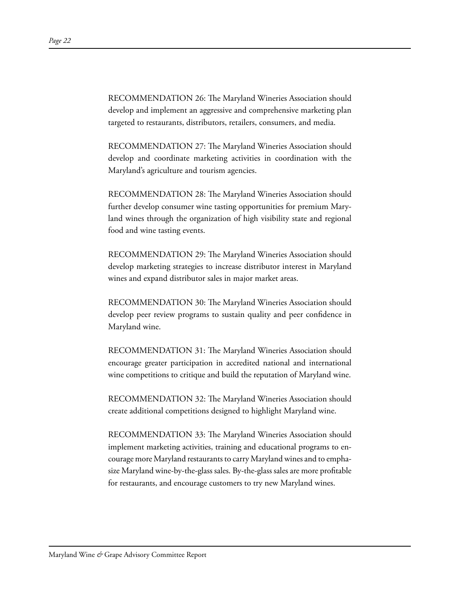RECOMMENDATION 26: The Maryland Wineries Association should develop and implement an aggressive and comprehensive marketing plan targeted to restaurants, distributors, retailers, consumers, and media.

RECOMMENDATION 27: The Maryland Wineries Association should develop and coordinate marketing activities in coordination with the Maryland's agriculture and tourism agencies.

RECOMMENDATION 28: The Maryland Wineries Association should further develop consumer wine tasting opportunities for premium Maryland wines through the organization of high visibility state and regional food and wine tasting events.

RECOMMENDATION 29: The Maryland Wineries Association should develop marketing strategies to increase distributor interest in Maryland wines and expand distributor sales in major market areas.

RECOMMENDATION 30: The Maryland Wineries Association should develop peer review programs to sustain quality and peer confidence in Maryland wine.

RECOMMENDATION 31: The Maryland Wineries Association should encourage greater participation in accredited national and international wine competitions to critique and build the reputation of Maryland wine.

RECOMMENDATION 32: The Maryland Wineries Association should create additional competitions designed to highlight Maryland wine.

RECOMMENDATION 33: The Maryland Wineries Association should implement marketing activities, training and educational programs to encourage more Maryland restaurants to carry Maryland wines and to emphasize Maryland wine-by-the-glass sales. By-the-glass sales are more profitable for restaurants, and encourage customers to try new Maryland wines.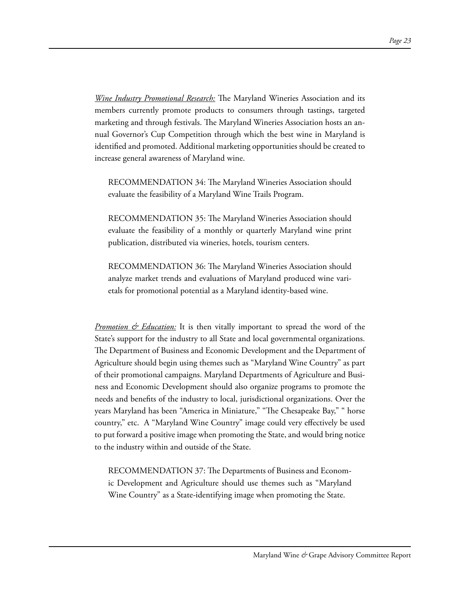*Wine Industry Promotional Research:* The Maryland Wineries Association and its members currently promote products to consumers through tastings, targeted marketing and through festivals. The Maryland Wineries Association hosts an annual Governor's Cup Competition through which the best wine in Maryland is identified and promoted. Additional marketing opportunities should be created to increase general awareness of Maryland wine.

RECOMMENDATION 34: The Maryland Wineries Association should evaluate the feasibility of a Maryland Wine Trails Program.

RECOMMENDATION 35: The Maryland Wineries Association should evaluate the feasibility of a monthly or quarterly Maryland wine print publication, distributed via wineries, hotels, tourism centers.

RECOMMENDATION 36: The Maryland Wineries Association should analyze market trends and evaluations of Maryland produced wine varietals for promotional potential as a Maryland identity-based wine.

*Promotion & Education:* It is then vitally important to spread the word of the State's support for the industry to all State and local governmental organizations. The Department of Business and Economic Development and the Department of Agriculture should begin using themes such as "Maryland Wine Country" as part of their promotional campaigns. Maryland Departments of Agriculture and Business and Economic Development should also organize programs to promote the needs and benefits of the industry to local, jurisdictional organizations. Over the years Maryland has been "America in Miniature," "The Chesapeake Bay," " horse country," etc. A "Maryland Wine Country" image could very effectively be used to put forward a positive image when promoting the State, and would bring notice to the industry within and outside of the State.

RECOMMENDATION 37: The Departments of Business and Economic Development and Agriculture should use themes such as "Maryland Wine Country" as a State-identifying image when promoting the State.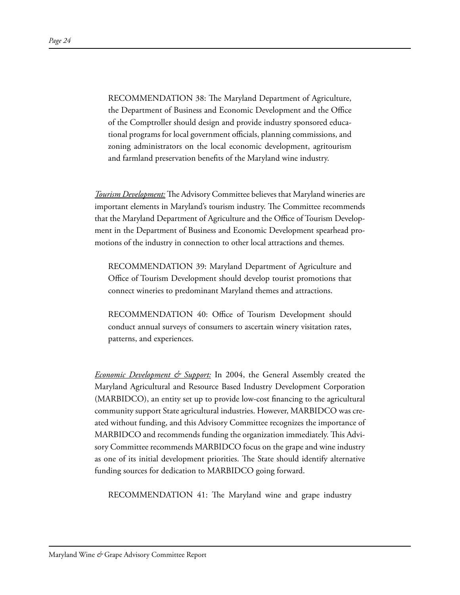RECOMMENDATION 38: The Maryland Department of Agriculture, the Department of Business and Economic Development and the Office of the Comptroller should design and provide industry sponsored educational programs for local government officials, planning commissions, and zoning administrators on the local economic development, agritourism and farmland preservation benefits of the Maryland wine industry.

*Tourism Development:* The Advisory Committee believes that Maryland wineries are important elements in Maryland's tourism industry. The Committee recommends that the Maryland Department of Agriculture and the Office of Tourism Development in the Department of Business and Economic Development spearhead promotions of the industry in connection to other local attractions and themes.

RECOMMENDATION 39: Maryland Department of Agriculture and Office of Tourism Development should develop tourist promotions that connect wineries to predominant Maryland themes and attractions.

RECOMMENDATION 40: Office of Tourism Development should conduct annual surveys of consumers to ascertain winery visitation rates, patterns, and experiences.

*Economic Development & Support:* In 2004, the General Assembly created the Maryland Agricultural and Resource Based Industry Development Corporation (MARBIDCO), an entity set up to provide low-cost financing to the agricultural community support State agricultural industries. However, MARBIDCO was created without funding, and this Advisory Committee recognizes the importance of MARBIDCO and recommends funding the organization immediately. This Advisory Committee recommends MARBIDCO focus on the grape and wine industry as one of its initial development priorities. The State should identify alternative funding sources for dedication to MARBIDCO going forward.

RECOMMENDATION 41: The Maryland wine and grape industry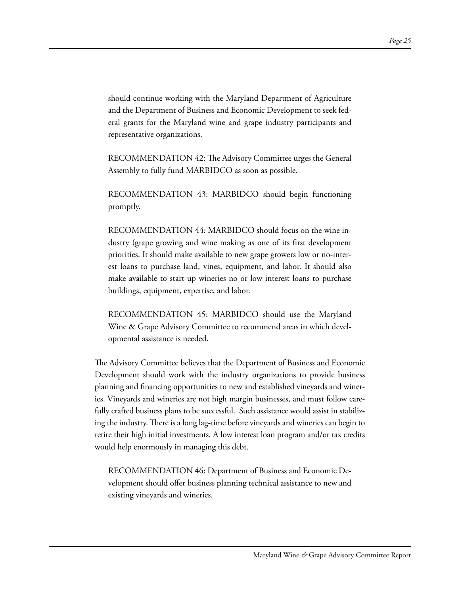should continue working with the Maryland Department of Agriculture and the Department of Business and Economic Development to seek federal grants for the Maryland wine and grape industry participants and representative organizations.

RECOMMENDATION 42: The Advisory Committee urges the General Assembly to fully fund MARBIDCO as soon as possible.

RECOMMENDATION 43: MARBIDCO should begin functioning promptly.

RECOMMENDATION 44: MARBIDCO should focus on the wine industry (grape growing and wine making as one of its first development priorities. It should make available to new grape growers low or no-interest loans to purchase land, vines, equipment, and labor. It should also make available to start-up wineries no or low interest loans to purchase buildings, equipment, expertise, and labor.

RECOMMENDATION 45: MARBIDCO should use the Maryland Wine & Grape Advisory Committee to recommend areas in which developmental assistance is needed.

The Advisory Committee believes that the Department of Business and Economic Development should work with the industry organizations to provide business planning and financing opportunities to new and established vineyards and wineries. Vineyards and wineries are not high margin businesses, and must follow carefully crafted business plans to be successful. Such assistance would assist in stabilizing the industry. There is a long lag-time before vineyards and wineries can begin to retire their high initial investments. A low interest loan program and/or tax credits would help enormously in managing this debt.

RECOMMENDATION 46: Department of Business and Economic Development should offer business planning technical assistance to new and existing vineyards and wineries.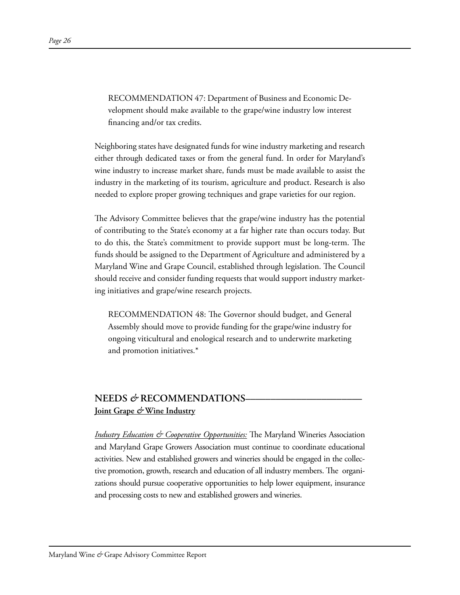RECOMMENDATION 47: Department of Business and Economic Development should make available to the grape/wine industry low interest financing and/or tax credits.

Neighboring states have designated funds for wine industry marketing and research either through dedicated taxes or from the general fund. In order for Maryland's wine industry to increase market share, funds must be made available to assist the industry in the marketing of its tourism, agriculture and product. Research is also needed to explore proper growing techniques and grape varieties for our region.

The Advisory Committee believes that the grape/wine industry has the potential of contributing to the State's economy at a far higher rate than occurs today. But to do this, the State's commitment to provide support must be long-term. The funds should be assigned to the Department of Agriculture and administered by a Maryland Wine and Grape Council, established through legislation. The Council should receive and consider funding requests that would support industry marketing initiatives and grape/wine research projects.

RECOMMENDATION 48: The Governor should budget, and General Assembly should move to provide funding for the grape/wine industry for ongoing viticultural and enological research and to underwrite marketing and promotion initiatives.\*

# **NEEDS** *&* **RECOMMENDATIONS––––––––––––––––––––––– Joint Grape** *&* **Wine Industry**

*Industry Education & Cooperative Opportunities:* The Maryland Wineries Association and Maryland Grape Growers Association must continue to coordinate educational activities. New and established growers and wineries should be engaged in the collective promotion, growth, research and education of all industry members. The organizations should pursue cooperative opportunities to help lower equipment, insurance and processing costs to new and established growers and wineries.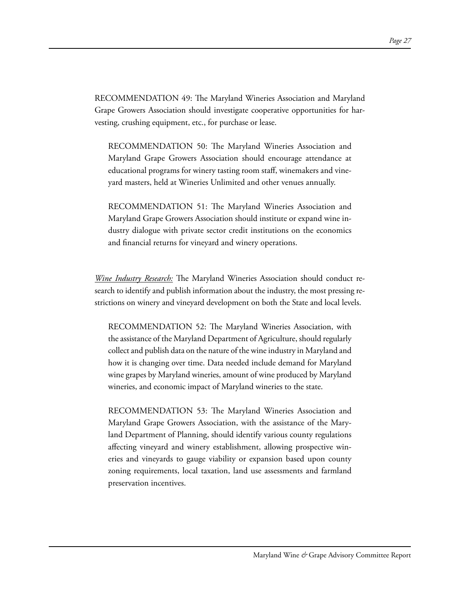RECOMMENDATION 49: The Maryland Wineries Association and Maryland Grape Growers Association should investigate cooperative opportunities for harvesting, crushing equipment, etc., for purchase or lease.

RECOMMENDATION 50: The Maryland Wineries Association and Maryland Grape Growers Association should encourage attendance at educational programs for winery tasting room staff, winemakers and vineyard masters, held at Wineries Unlimited and other venues annually.

RECOMMENDATION 51: The Maryland Wineries Association and Maryland Grape Growers Association should institute or expand wine industry dialogue with private sector credit institutions on the economics and financial returns for vineyard and winery operations.

*Wine Industry Research:* The Maryland Wineries Association should conduct research to identify and publish information about the industry, the most pressing restrictions on winery and vineyard development on both the State and local levels.

RECOMMENDATION 52: The Maryland Wineries Association, with the assistance of the Maryland Department of Agriculture, should regularly collect and publish data on the nature of the wine industry in Maryland and how it is changing over time. Data needed include demand for Maryland wine grapes by Maryland wineries, amount of wine produced by Maryland wineries, and economic impact of Maryland wineries to the state.

RECOMMENDATION 53: The Maryland Wineries Association and Maryland Grape Growers Association, with the assistance of the Maryland Department of Planning, should identify various county regulations affecting vineyard and winery establishment, allowing prospective wineries and vineyards to gauge viability or expansion based upon county zoning requirements, local taxation, land use assessments and farmland preservation incentives.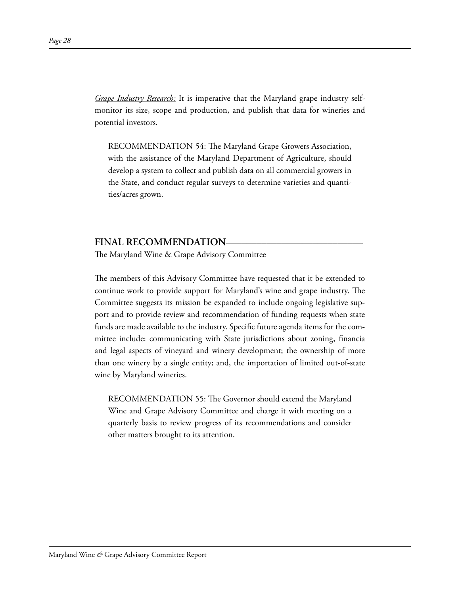*Grape Industry Research:* It is imperative that the Maryland grape industry selfmonitor its size, scope and production, and publish that data for wineries and potential investors.

RECOMMENDATION 54: The Maryland Grape Growers Association, with the assistance of the Maryland Department of Agriculture, should develop a system to collect and publish data on all commercial growers in the State, and conduct regular surveys to determine varieties and quantities/acres grown.

## FINAL RECOMMENDATION–

The Maryland Wine & Grape Advisory Committee

The members of this Advisory Committee have requested that it be extended to continue work to provide support for Maryland's wine and grape industry. The Committee suggests its mission be expanded to include ongoing legislative support and to provide review and recommendation of funding requests when state funds are made available to the industry. Specific future agenda items for the committee include: communicating with State jurisdictions about zoning, financia and legal aspects of vineyard and winery development; the ownership of more than one winery by a single entity; and, the importation of limited out-of-state wine by Maryland wineries.

RECOMMENDATION 55: The Governor should extend the Maryland Wine and Grape Advisory Committee and charge it with meeting on a quarterly basis to review progress of its recommendations and consider other matters brought to its attention.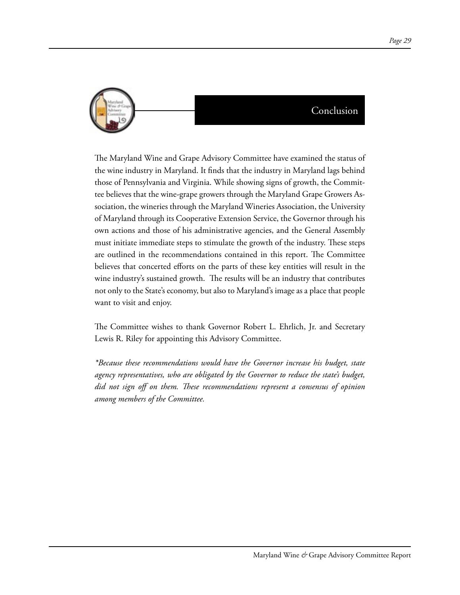

The Maryland Wine and Grape Advisory Committee have examined the status of the wine industry in Maryland. It finds that the industry in Maryland lags behind those of Pennsylvania and Virginia. While showing signs of growth, the Committee believes that the wine-grape growers through the Maryland Grape Growers Association, the wineries through the Maryland Wineries Association, the University of Maryland through its Cooperative Extension Service, the Governor through his own actions and those of his administrative agencies, and the General Assembly must initiate immediate steps to stimulate the growth of the industry. These steps are outlined in the recommendations contained in this report. The Committee believes that concerted efforts on the parts of these key entities will result in the wine industry's sustained growth. The results will be an industry that contributes not only to the State's economy, but also to Maryland's image as a place that people want to visit and enjoy.

The Committee wishes to thank Governor Robert L. Ehrlich, Jr. and Secretary Lewis R. Riley for appointing this Advisory Committee.

*\*Because these recommendations would have the Governor increase his budget, state agency representatives, who are obligated by the Governor to reduce the state's budget, did not sign off on them. These recommendations represent a consensus of opinion among members of the Committee.*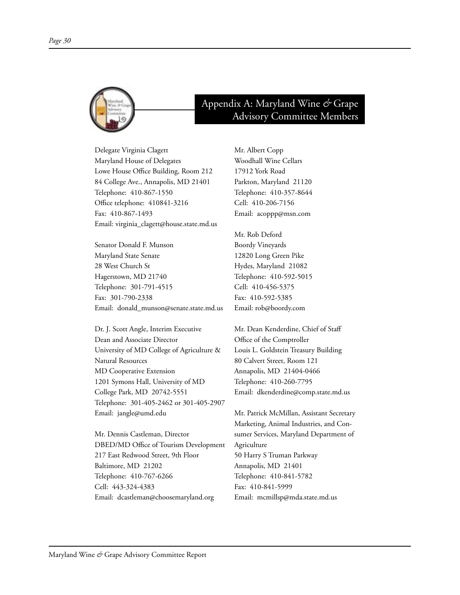

# Appendix A: Maryland Wine *&* Grape Advisory Committee Members

Delegate Virginia Clagett Maryland House of Delegates Lowe House Office Building, Room 212 84 College Ave., Annapolis, MD 21401 Telephone: 410-867-1550 Office telephone: 410841-3216 Fax: 410-867-1493 Email: virginia\_clagett@house.state.md.us

Senator Donald F. Munson Maryland State Senate 28 West Church St Hagerstown, MD 21740 Telephone: 301-791-4515 Fax: 301-790-2338 Email: donald\_munson@senate.state.md.us

Dr. J. Scott Angle, Interim Executive Dean and Associate Director University of MD College of Agriculture & Natural Resources MD Cooperative Extension 1201 Symons Hall, University of MD College Park, MD 20742-5551 Telephone: 301-405-2462 or 301-405-2907 Email: jangle@umd.edu

Mr. Dennis Castleman, Director DBED/MD Office of Tourism Development 217 East Redwood Street, 9th Floor Baltimore, MD 21202 Telephone: 410-767-6266 Cell: 443-324-4383 Email: dcastleman@choosemaryland.org

Mr. Albert Copp Woodhall Wine Cellars 17912 York Road Parkton, Maryland 21120 Telephone: 410-357-8644 Cell: 410-206-7156 Email: acoppp@msn.com

Mr. Rob Deford Boordy Vineyards 12820 Long Green Pike Hydes, Maryland 21082 Telephone: 410-592-5015 Cell: 410-456-5375 Fax: 410-592-5385 Email: rob@boordy.com

Mr. Dean Kenderdine, Chief of Staff Office of the Comptroller Louis L. Goldstein Treasury Building 80 Calvert Street, Room 121 Annapolis, MD 21404-0466 Telephone: 410-260-7795 Email: dkenderdine@comp.state.md.us

Mr. Patrick McMillan, Assistant Secretary Marketing, Animal Industries, and Consumer Services, Maryland Department of Agriculture 50 Harry S Truman Parkway Annapolis, MD 21401 Telephone: 410-841-5782 Fax: 410-841-5999 Email: mcmillsp@mda.state.md.us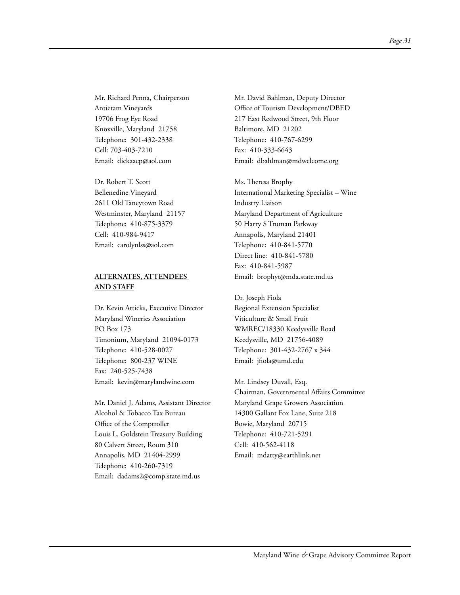Mr. Richard Penna, Chairperson Antietam Vineyards 19706 Frog Eye Road Knoxville, Maryland 21758 Telephone: 301-432-2338 Cell: 703-403-7210 Email: dickaacp@aol.com

Dr. Robert T. Scott Bellenedine Vineyard 2611 Old Taneytown Road Westminster, Maryland 21157 Telephone: 410-875-3379 Cell: 410-984-9417 Email: carolynlss@aol.com

#### **ALTERNATES, ATTENDEES AND STAFF**

Dr. Kevin Atticks, Executive Director Maryland Wineries Association PO Box 173 Timonium, Maryland 21094-0173 Telephone: 410-528-0027 Telephone: 800-237 WINE Fax: 240-525-7438 Email: kevin@marylandwine.com

Mr. Daniel J. Adams, Assistant Director Alcohol & Tobacco Tax Bureau Office of the Comptroller Louis L. Goldstein Treasury Building 80 Calvert Street, Room 310 Annapolis, MD 21404-2999 Telephone: 410-260-7319 Email: dadams2@comp.state.md.us

Mr. David Bahlman, Deputy Director Office of Tourism Development/DBED 217 East Redwood Street, 9th Floor Baltimore, MD 21202 Telephone: 410-767-6299 Fax: 410-333-6643 Email: dbahlman@mdwelcome.org

Ms. Theresa Brophy International Marketing Specialist – Wine Industry Liaison Maryland Department of Agriculture 50 Harry S Truman Parkway Annapolis, Maryland 21401 Telephone: 410-841-5770 Direct line: 410-841-5780 Fax: 410-841-5987 Email: brophyt@mda.state.md.us

Dr. Joseph Fiola Regional Extension Specialist Viticulture & Small Fruit WMREC/18330 Keedysville Road Keedysville, MD 21756-4089 Telephone: 301-432-2767 x 344 Email: jfiola@umd.edu

Mr. Lindsey Duvall, Esq. Chairman, Governmental Affairs Committee Maryland Grape Growers Association 14300 Gallant Fox Lane, Suite 218 Bowie, Maryland 20715 Telephone: 410-721-5291 Cell: 410-562-4118 Email: mdatty@earthlink.net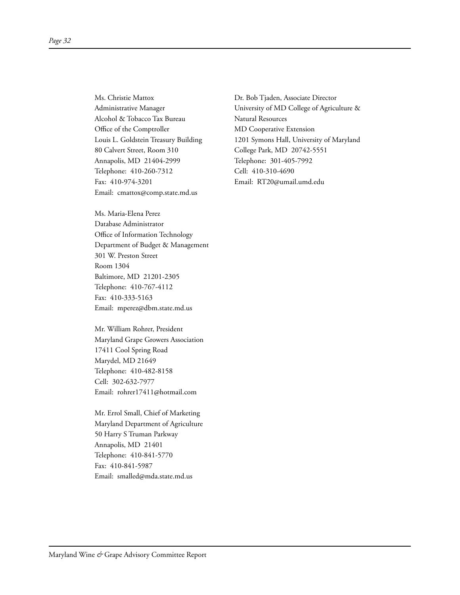Ms. Christie Mattox Administrative Manager Alcohol & Tobacco Tax Bureau Office of the Comptroller Louis L. Goldstein Treasury Building 80 Calvert Street, Room 310 Annapolis, MD 21404-2999 Telephone: 410-260-7312 Fax: 410-974-3201 Email: cmattox@comp.state.md.us

Ms. Maria-Elena Perez Database Administrator Office of Information Technology Department of Budget & Management 301 W. Preston Street Room 1304 Baltimore, MD 21201-2305 Telephone: 410-767-4112 Fax: 410-333-5163 Email: mperez@dbm.state.md.us

Mr. William Rohrer, President Maryland Grape Growers Association 17411 Cool Spring Road Marydel, MD 21649 Telephone: 410-482-8158 Cell: 302-632-7977 Email: rohrer17411@hotmail.com

Mr. Errol Small, Chief of Marketing Maryland Department of Agriculture 50 Harry S Truman Parkway Annapolis, MD 21401 Telephone: 410-841-5770 Fax: 410-841-5987 Email: smalled@mda.state.md.us

Dr. Bob Tjaden, Associate Director University of MD College of Agriculture & Natural Resources MD Cooperative Extension 1201 Symons Hall, University of Maryland College Park, MD 20742-5551 Telephone: 301-405-7992 Cell: 410-310-4690 Email: RT20@umail.umd.edu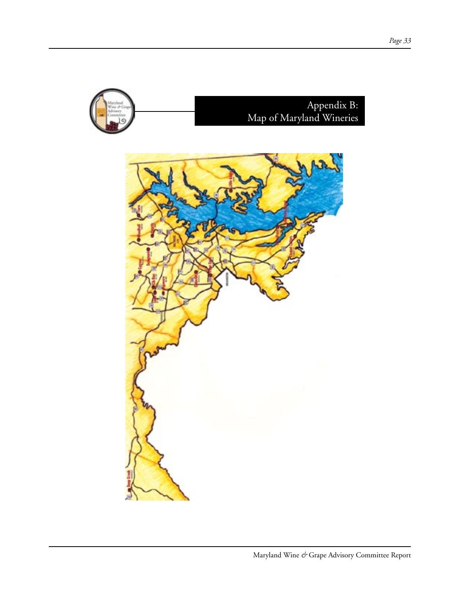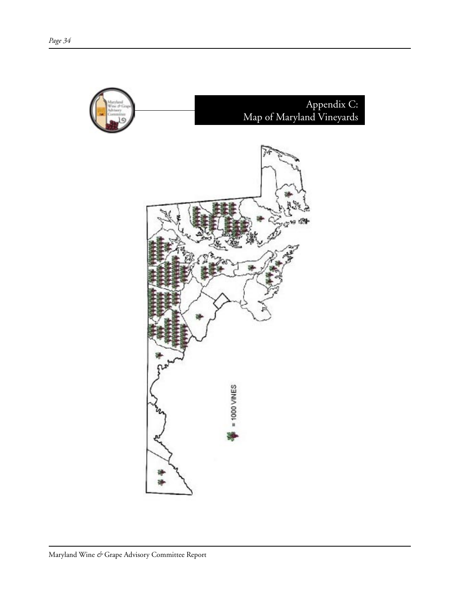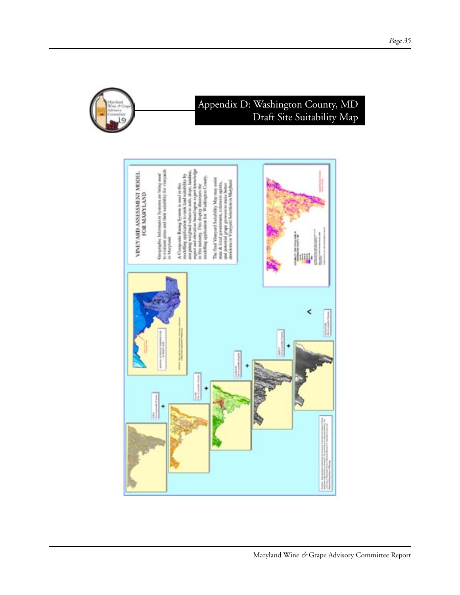

# Appendix D: Washington County, MD Draft Site Suitability Map

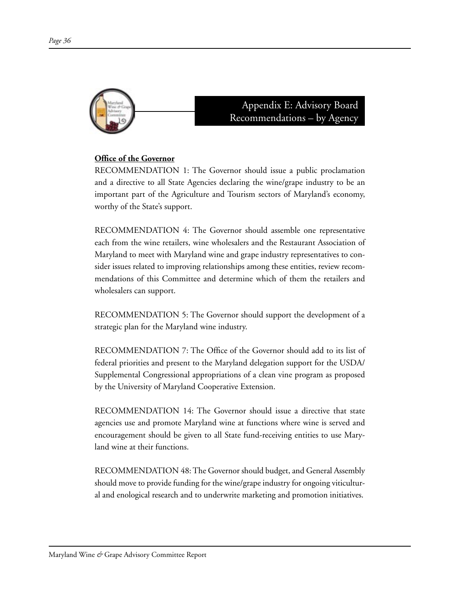

Appendix E: Advisory Board Recommendations – by Agency

## **Office of the Governor**

RECOMMENDATION 1: The Governor should issue a public proclamation and a directive to all State Agencies declaring the wine/grape industry to be an important part of the Agriculture and Tourism sectors of Maryland's economy, worthy of the State's support.

RECOMMENDATION 4: The Governor should assemble one representative each from the wine retailers, wine wholesalers and the Restaurant Association of Maryland to meet with Maryland wine and grape industry representatives to consider issues related to improving relationships among these entities, review recommendations of this Committee and determine which of them the retailers and wholesalers can support.

RECOMMENDATION 5: The Governor should support the development of a strategic plan for the Maryland wine industry.

RECOMMENDATION 7: The Office of the Governor should add to its list of federal priorities and present to the Maryland delegation support for the USDA/ Supplemental Congressional appropriations of a clean vine program as proposed by the University of Maryland Cooperative Extension.

RECOMMENDATION 14: The Governor should issue a directive that state agencies use and promote Maryland wine at functions where wine is served and encouragement should be given to all State fund-receiving entities to use Maryland wine at their functions.

RECOMMENDATION 48: The Governor should budget, and General Assembly should move to provide funding for the wine/grape industry for ongoing viticultural and enological research and to underwrite marketing and promotion initiatives.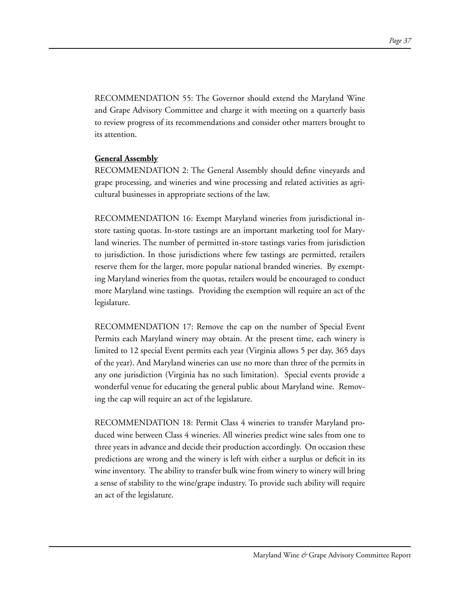RECOMMENDATION 55: The Governor should extend the Maryland Wine and Grape Advisory Committee and charge it with meeting on a quarterly basis to review progress of its recommendations and consider other matters brought to its attention.

#### **General Assembly**

RECOMMENDATION 2: The General Assembly should define vineyards and grape processing, and wineries and wine processing and related activities as agricultural businesses in appropriate sections of the law.

RECOMMENDATION 16: Exempt Maryland wineries from jurisdictional instore tasting quotas. In-store tastings are an important marketing tool for Maryland wineries. The number of permitted in-store tastings varies from jurisdiction to jurisdiction. In those jurisdictions where few tastings are permitted, retailers reserve them for the larger, more popular national branded wineries. By exempting Maryland wineries from the quotas, retailers would be encouraged to conduct more Maryland wine tastings. Providing the exemption will require an act of the legislature.

RECOMMENDATION 17: Remove the cap on the number of Special Event Permits each Maryland winery may obtain. At the present time, each winery is limited to 12 special Event permits each year (Virginia allows 5 per day, 365 days of the year). And Maryland wineries can use no more than three of the permits in any one jurisdiction (Virginia has no such limitation). Special events provide a wonderful venue for educating the general public about Maryland wine. Removing the cap will require an act of the legislature.

RECOMMENDATION 18: Permit Class 4 wineries to transfer Maryland produced wine between Class 4 wineries. All wineries predict wine sales from one to three years in advance and decide their production accordingly. On occasion these predictions are wrong and the winery is left with either a surplus or deficit in its wine inventory. The ability to transfer bulk wine from winery to winery will bring a sense of stability to the wine/grape industry. To provide such ability will require an act of the legislature.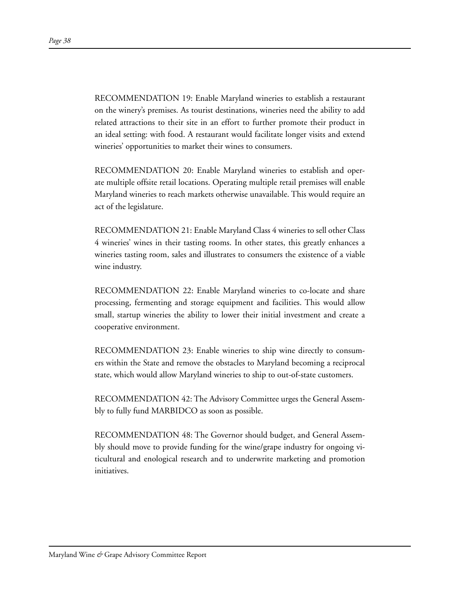RECOMMENDATION 19: Enable Maryland wineries to establish a restaurant on the winery's premises. As tourist destinations, wineries need the ability to add related attractions to their site in an effort to further promote their product in an ideal setting: with food. A restaurant would facilitate longer visits and extend wineries' opportunities to market their wines to consumers.

RECOMMENDATION 20: Enable Maryland wineries to establish and operate multiple offsite retail locations. Operating multiple retail premises will enable Maryland wineries to reach markets otherwise unavailable. This would require an act of the legislature.

RECOMMENDATION 21: Enable Maryland Class 4 wineries to sell other Class 4 wineries' wines in their tasting rooms. In other states, this greatly enhances a wineries tasting room, sales and illustrates to consumers the existence of a viable wine industry.

RECOMMENDATION 22: Enable Maryland wineries to co-locate and share processing, fermenting and storage equipment and facilities. This would allow small, startup wineries the ability to lower their initial investment and create a cooperative environment.

RECOMMENDATION 23: Enable wineries to ship wine directly to consumers within the State and remove the obstacles to Maryland becoming a reciprocal state, which would allow Maryland wineries to ship to out-of-state customers.

RECOMMENDATION 42: The Advisory Committee urges the General Assembly to fully fund MARBIDCO as soon as possible.

RECOMMENDATION 48: The Governor should budget, and General Assembly should move to provide funding for the wine/grape industry for ongoing viticultural and enological research and to underwrite marketing and promotion initiatives.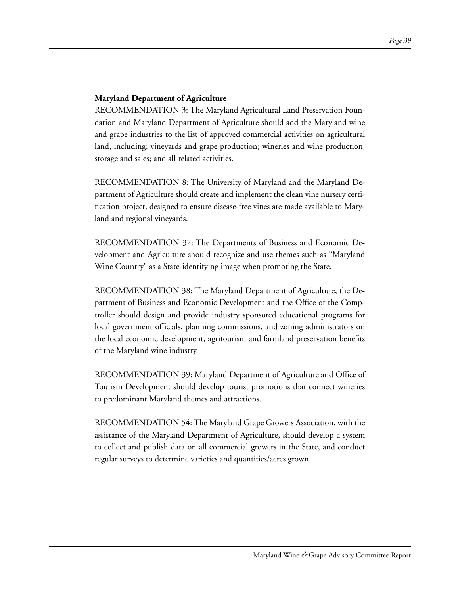## **Maryland Department of Agriculture**

RECOMMENDATION 3: The Maryland Agricultural Land Preservation Foundation and Maryland Department of Agriculture should add the Maryland wine and grape industries to the list of approved commercial activities on agricultural land, including: vineyards and grape production; wineries and wine production, storage and sales; and all related activities.

RECOMMENDATION 8: The University of Maryland and the Maryland Department of Agriculture should create and implement the clean vine nursery certification project, designed to ensure disease-free vines are made available to Maryland and regional vineyards.

RECOMMENDATION 37: The Departments of Business and Economic Development and Agriculture should recognize and use themes such as "Maryland Wine Country" as a State-identifying image when promoting the State.

RECOMMENDATION 38: The Maryland Department of Agriculture, the Department of Business and Economic Development and the Office of the Comptroller should design and provide industry sponsored educational programs for local government officials, planning commissions, and zoning administrators on the local economic development, agritourism and farmland preservation benefits of the Maryland wine industry.

RECOMMENDATION 39: Maryland Department of Agriculture and Office of Tourism Development should develop tourist promotions that connect wineries to predominant Maryland themes and attractions.

RECOMMENDATION 54: The Maryland Grape Growers Association, with the assistance of the Maryland Department of Agriculture, should develop a system to collect and publish data on all commercial growers in the State, and conduct regular surveys to determine varieties and quantities/acres grown.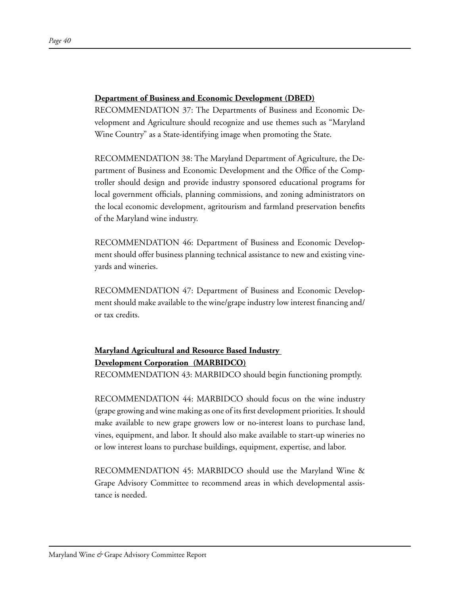#### **Department of Business and Economic Development (DBED)**

RECOMMENDATION 37: The Departments of Business and Economic Development and Agriculture should recognize and use themes such as "Maryland Wine Country" as a State-identifying image when promoting the State.

RECOMMENDATION 38: The Maryland Department of Agriculture, the Department of Business and Economic Development and the Office of the Comptroller should design and provide industry sponsored educational programs for local government officials, planning commissions, and zoning administrators on the local economic development, agritourism and farmland preservation benefits of the Maryland wine industry.

RECOMMENDATION 46: Department of Business and Economic Development should offer business planning technical assistance to new and existing vineyards and wineries.

RECOMMENDATION 47: Department of Business and Economic Development should make available to the wine/grape industry low interest financing and/ or tax credits.

# **Maryland Agricultural and Resource Based Industry Development Corporation (MARBIDCO)**

RECOMMENDATION 43: MARBIDCO should begin functioning promptly.

RECOMMENDATION 44: MARBIDCO should focus on the wine industry (grape growing and wine making as one of its first development priorities. It should make available to new grape growers low or no-interest loans to purchase land, vines, equipment, and labor. It should also make available to start-up wineries no or low interest loans to purchase buildings, equipment, expertise, and labor.

RECOMMENDATION 45: MARBIDCO should use the Maryland Wine & Grape Advisory Committee to recommend areas in which developmental assistance is needed.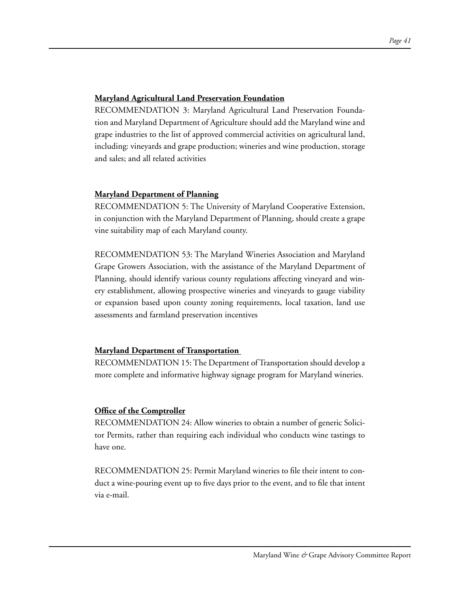#### **Maryland Agricultural Land Preservation Foundation**

RECOMMENDATION 3: Maryland Agricultural Land Preservation Foundation and Maryland Department of Agriculture should add the Maryland wine and grape industries to the list of approved commercial activities on agricultural land, including: vineyards and grape production; wineries and wine production, storage and sales; and all related activities

## **Maryland Department of Planning**

RECOMMENDATION 5: The University of Maryland Cooperative Extension, in conjunction with the Maryland Department of Planning, should create a grape vine suitability map of each Maryland county.

RECOMMENDATION 53: The Maryland Wineries Association and Maryland Grape Growers Association, with the assistance of the Maryland Department of Planning, should identify various county regulations affecting vineyard and winery establishment, allowing prospective wineries and vineyards to gauge viability or expansion based upon county zoning requirements, local taxation, land use assessments and farmland preservation incentives

## **Maryland Department of Transportation**

RECOMMENDATION 15: The Department of Transportation should develop a more complete and informative highway signage program for Maryland wineries.

## **Office of the Comptroller**

RECOMMENDATION 24: Allow wineries to obtain a number of generic Solicitor Permits, rather than requiring each individual who conducts wine tastings to have one.

RECOMMENDATION 25: Permit Maryland wineries to file their intent to conduct a wine-pouring event up to five days prior to the event, and to file that intent via e-mail.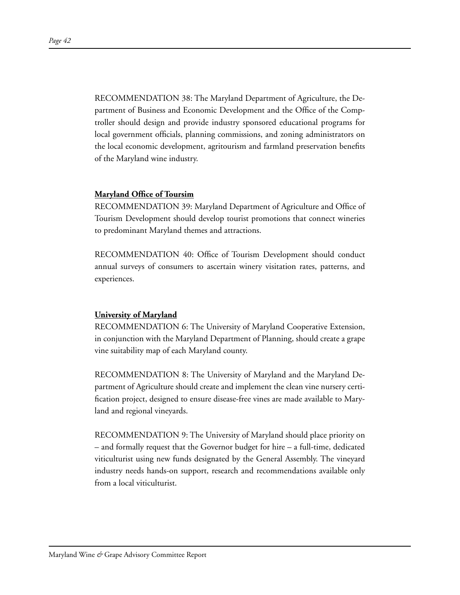RECOMMENDATION 38: The Maryland Department of Agriculture, the Department of Business and Economic Development and the Office of the Comptroller should design and provide industry sponsored educational programs for local government officials, planning commissions, and zoning administrators on the local economic development, agritourism and farmland preservation benefits of the Maryland wine industry.

#### **Maryland Office of Toursim**

RECOMMENDATION 39: Maryland Department of Agriculture and Office of Tourism Development should develop tourist promotions that connect wineries to predominant Maryland themes and attractions.

RECOMMENDATION 40: Office of Tourism Development should conduct annual surveys of consumers to ascertain winery visitation rates, patterns, and experiences.

#### **University of Maryland**

RECOMMENDATION 6: The University of Maryland Cooperative Extension, in conjunction with the Maryland Department of Planning, should create a grape vine suitability map of each Maryland county.

RECOMMENDATION 8: The University of Maryland and the Maryland Department of Agriculture should create and implement the clean vine nursery certification project, designed to ensure disease-free vines are made available to Maryland and regional vineyards.

RECOMMENDATION 9: The University of Maryland should place priority on – and formally request that the Governor budget for hire – a full-time, dedicated viticulturist using new funds designated by the General Assembly. The vineyard industry needs hands-on support, research and recommendations available only from a local viticulturist.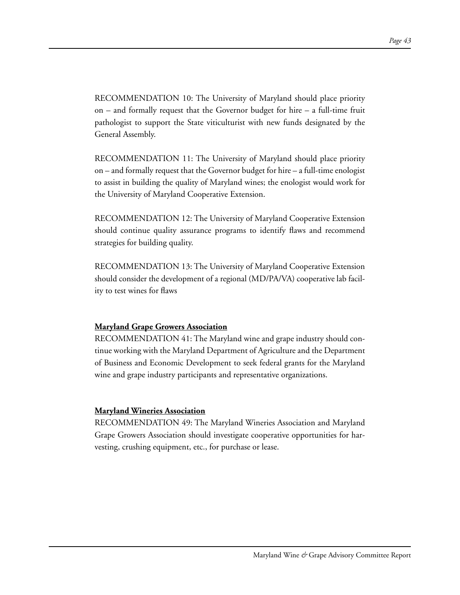RECOMMENDATION 10: The University of Maryland should place priority on – and formally request that the Governor budget for hire – a full-time fruit pathologist to support the State viticulturist with new funds designated by the General Assembly.

RECOMMENDATION 11: The University of Maryland should place priority on – and formally request that the Governor budget for hire – a full-time enologist to assist in building the quality of Maryland wines; the enologist would work for the University of Maryland Cooperative Extension.

RECOMMENDATION 12: The University of Maryland Cooperative Extension should continue quality assurance programs to identify flaws and recommend strategies for building quality.

RECOMMENDATION 13: The University of Maryland Cooperative Extension should consider the development of a regional (MD/PA/VA) cooperative lab facility to test wines for flaws

#### **Maryland Grape Growers Association**

RECOMMENDATION 41: The Maryland wine and grape industry should continue working with the Maryland Department of Agriculture and the Department of Business and Economic Development to seek federal grants for the Maryland wine and grape industry participants and representative organizations.

#### **Maryland Wineries Association**

RECOMMENDATION 49: The Maryland Wineries Association and Maryland Grape Growers Association should investigate cooperative opportunities for harvesting, crushing equipment, etc., for purchase or lease.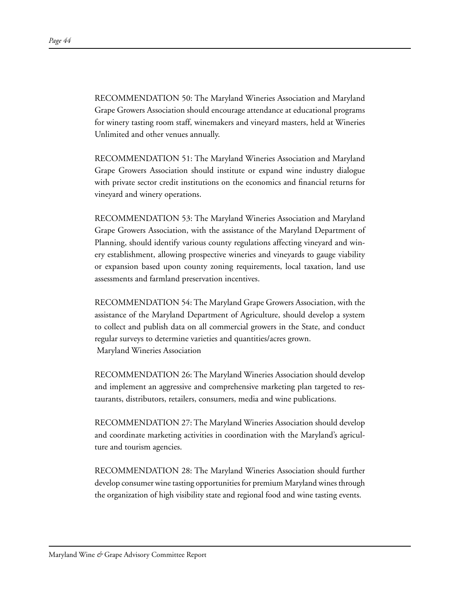RECOMMENDATION 50: The Maryland Wineries Association and Maryland Grape Growers Association should encourage attendance at educational programs for winery tasting room staff, winemakers and vineyard masters, held at Wineries Unlimited and other venues annually.

RECOMMENDATION 51: The Maryland Wineries Association and Maryland Grape Growers Association should institute or expand wine industry dialogue with private sector credit institutions on the economics and financial returns for vineyard and winery operations.

RECOMMENDATION 53: The Maryland Wineries Association and Maryland Grape Growers Association, with the assistance of the Maryland Department of Planning, should identify various county regulations affecting vineyard and winery establishment, allowing prospective wineries and vineyards to gauge viability or expansion based upon county zoning requirements, local taxation, land use assessments and farmland preservation incentives.

RECOMMENDATION 54: The Maryland Grape Growers Association, with the assistance of the Maryland Department of Agriculture, should develop a system to collect and publish data on all commercial growers in the State, and conduct regular surveys to determine varieties and quantities/acres grown. Maryland Wineries Association

RECOMMENDATION 26: The Maryland Wineries Association should develop and implement an aggressive and comprehensive marketing plan targeted to restaurants, distributors, retailers, consumers, media and wine publications.

RECOMMENDATION 27: The Maryland Wineries Association should develop and coordinate marketing activities in coordination with the Maryland's agriculture and tourism agencies.

RECOMMENDATION 28: The Maryland Wineries Association should further develop consumer wine tasting opportunities for premium Maryland wines through the organization of high visibility state and regional food and wine tasting events.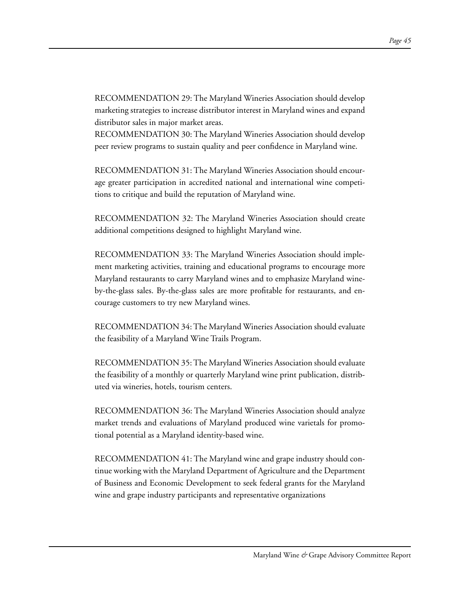RECOMMENDATION 29: The Maryland Wineries Association should develop marketing strategies to increase distributor interest in Maryland wines and expand distributor sales in major market areas.

RECOMMENDATION 30: The Maryland Wineries Association should develop peer review programs to sustain quality and peer confidence in Maryland wine.

RECOMMENDATION 31: The Maryland Wineries Association should encourage greater participation in accredited national and international wine competitions to critique and build the reputation of Maryland wine.

RECOMMENDATION 32: The Maryland Wineries Association should create additional competitions designed to highlight Maryland wine.

RECOMMENDATION 33: The Maryland Wineries Association should implement marketing activities, training and educational programs to encourage more Maryland restaurants to carry Maryland wines and to emphasize Maryland wineby-the-glass sales. By-the-glass sales are more profitable for restaurants, and encourage customers to try new Maryland wines.

RECOMMENDATION 34: The Maryland Wineries Association should evaluate the feasibility of a Maryland Wine Trails Program.

RECOMMENDATION 35: The Maryland Wineries Association should evaluate the feasibility of a monthly or quarterly Maryland wine print publication, distributed via wineries, hotels, tourism centers.

RECOMMENDATION 36: The Maryland Wineries Association should analyze market trends and evaluations of Maryland produced wine varietals for promotional potential as a Maryland identity-based wine.

RECOMMENDATION 41: The Maryland wine and grape industry should continue working with the Maryland Department of Agriculture and the Department of Business and Economic Development to seek federal grants for the Maryland wine and grape industry participants and representative organizations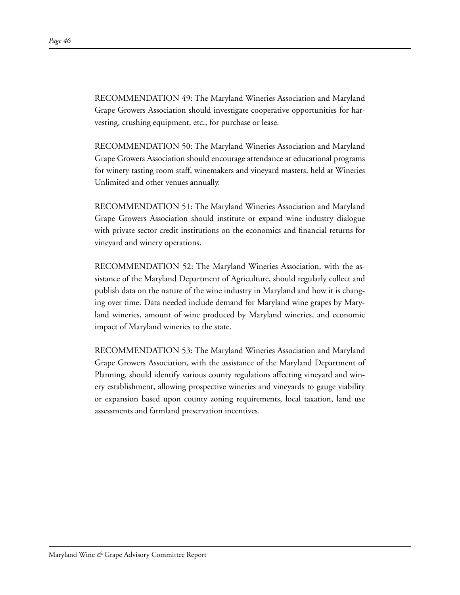RECOMMENDATION 49: The Maryland Wineries Association and Maryland Grape Growers Association should investigate cooperative opportunities for harvesting, crushing equipment, etc., for purchase or lease.

RECOMMENDATION 50: The Maryland Wineries Association and Maryland Grape Growers Association should encourage attendance at educational programs for winery tasting room staff, winemakers and vineyard masters, held at Wineries Unlimited and other venues annually.

RECOMMENDATION 51: The Maryland Wineries Association and Maryland Grape Growers Association should institute or expand wine industry dialogue with private sector credit institutions on the economics and financial returns for vineyard and winery operations.

RECOMMENDATION 52: The Maryland Wineries Association, with the assistance of the Maryland Department of Agriculture, should regularly collect and publish data on the nature of the wine industry in Maryland and how it is changing over time. Data needed include demand for Maryland wine grapes by Maryland wineries, amount of wine produced by Maryland wineries, and economic impact of Maryland wineries to the state.

RECOMMENDATION 53: The Maryland Wineries Association and Maryland Grape Growers Association, with the assistance of the Maryland Department of Planning, should identify various county regulations affecting vineyard and winery establishment, allowing prospective wineries and vineyards to gauge viability or expansion based upon county zoning requirements, local taxation, land use assessments and farmland preservation incentives.